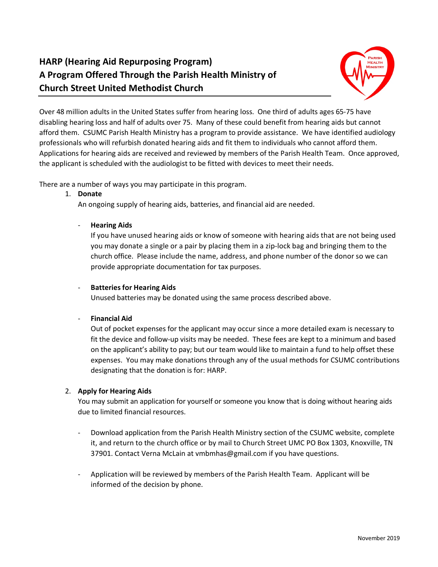# **HARP (Hearing Aid Repurposing Program) A Program Offered Through the Parish Health Ministry of Church Street United Methodist Church**



Over 48 million adults in the United States suffer from hearing loss. One third of adults ages 65-75 have disabling hearing loss and half of adults over 75. Many of these could benefit from hearing aids but cannot afford them. CSUMC Parish Health Ministry has a program to provide assistance. We have identified audiology professionals who will refurbish donated hearing aids and fit them to individuals who cannot afford them. Applications for hearing aids are received and reviewed by members of the Parish Health Team. Once approved, the applicant is scheduled with the audiologist to be fitted with devices to meet their needs.

There are a number of ways you may participate in this program.

#### 1. **Donate**

An ongoing supply of hearing aids, batteries, and financial aid are needed.

#### - **Hearing Aids**

If you have unused hearing aids or know of someone with hearing aids that are not being used you may donate a single or a pair by placing them in a zip-lock bag and bringing them to the church office. Please include the name, address, and phone number of the donor so we can provide appropriate documentation for tax purposes.

## - **Batteries for Hearing Aids**

Unused batteries may be donated using the same process described above.

# - **Financial Aid**

Out of pocket expenses for the applicant may occur since a more detailed exam is necessary to fit the device and follow-up visits may be needed. These fees are kept to a minimum and based on the applicant's ability to pay; but our team would like to maintain a fund to help offset these expenses. You may make donations through any of the usual methods for CSUMC contributions designating that the donation is for: HARP.

#### 2. **Apply for Hearing Aids**

You may submit an application for yourself or someone you know that is doing without hearing aids due to limited financial resources.

- Download application from the Parish Health Ministry section of the CSUMC website, complete it, and return to the church office or by mail to Church Street UMC PO Box 1303, Knoxville, TN 37901. Contact Verna McLain at vmbmhas@gmail.com if you have questions.
- Application will be reviewed by members of the Parish Health Team. Applicant will be informed of the decision by phone.